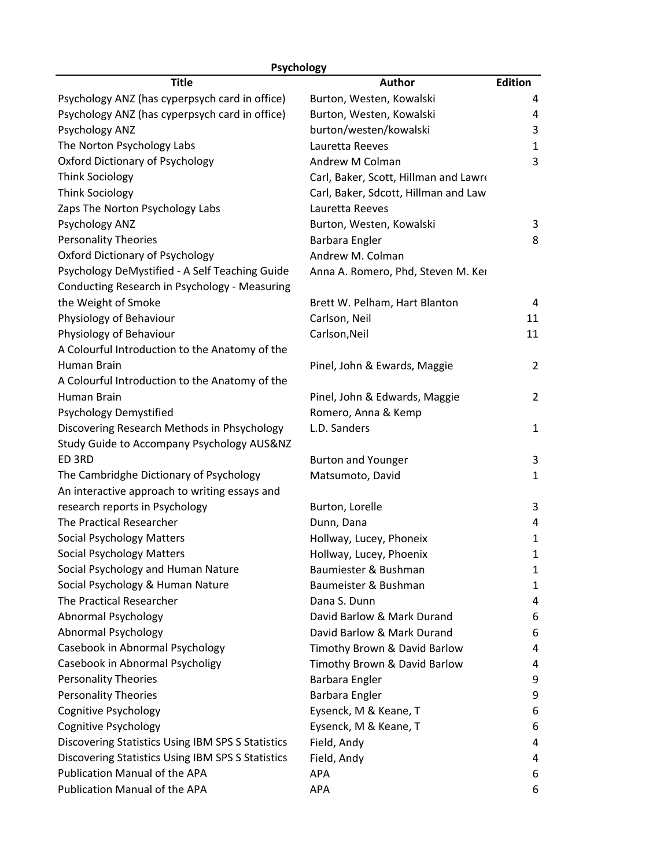| Psychology                                        |                                       |                |  |  |
|---------------------------------------------------|---------------------------------------|----------------|--|--|
| <b>Title</b>                                      | <b>Author</b>                         | <b>Edition</b> |  |  |
| Psychology ANZ (has cyperpsych card in office)    | Burton, Westen, Kowalski              | 4              |  |  |
| Psychology ANZ (has cyperpsych card in office)    | Burton, Westen, Kowalski              | 4              |  |  |
| Psychology ANZ                                    | burton/westen/kowalski                | 3              |  |  |
| The Norton Psychology Labs                        | Lauretta Reeves                       | $\mathbf{1}$   |  |  |
| Oxford Dictionary of Psychology                   | Andrew M Colman                       | 3              |  |  |
| <b>Think Sociology</b>                            | Carl, Baker, Scott, Hillman and Lawro |                |  |  |
| <b>Think Sociology</b>                            | Carl, Baker, Sdcott, Hillman and Law  |                |  |  |
| Zaps The Norton Psychology Labs                   | Lauretta Reeves                       |                |  |  |
| Psychology ANZ                                    | Burton, Westen, Kowalski              | 3              |  |  |
| <b>Personality Theories</b>                       | Barbara Engler                        | 8              |  |  |
| Oxford Dictionary of Psychology                   | Andrew M. Colman                      |                |  |  |
| Psychology DeMystified - A Self Teaching Guide    | Anna A. Romero, Phd, Steven M. Kei    |                |  |  |
| Conducting Research in Psychology - Measuring     |                                       |                |  |  |
| the Weight of Smoke                               | Brett W. Pelham, Hart Blanton         | 4              |  |  |
| Physiology of Behaviour                           | Carlson, Neil                         | 11             |  |  |
| Physiology of Behaviour                           | Carlson, Neil                         | 11             |  |  |
| A Colourful Introduction to the Anatomy of the    |                                       |                |  |  |
| Human Brain                                       | Pinel, John & Ewards, Maggie          | 2              |  |  |
| A Colourful Introduction to the Anatomy of the    |                                       |                |  |  |
| Human Brain                                       | Pinel, John & Edwards, Maggie         | 2              |  |  |
| Psychology Demystified                            | Romero, Anna & Kemp                   |                |  |  |
| Discovering Research Methods in Phsychology       | L.D. Sanders                          | 1              |  |  |
| Study Guide to Accompany Psychology AUS&NZ        |                                       |                |  |  |
| ED 3RD                                            | <b>Burton and Younger</b>             | 3              |  |  |
| The Cambridghe Dictionary of Psychology           | Matsumoto, David                      | 1              |  |  |
| An interactive approach to writing essays and     |                                       |                |  |  |
| research reports in Psychology                    | Burton, Lorelle                       | 3              |  |  |
| The Practical Researcher                          | Dunn, Dana                            | 4              |  |  |
| <b>Social Psychology Matters</b>                  | Hollway, Lucey, Phoneix               | 1              |  |  |
| <b>Social Psychology Matters</b>                  | Hollway, Lucey, Phoenix               | 1              |  |  |
| Social Psychology and Human Nature                | Baumiester & Bushman                  | 1              |  |  |
| Social Psychology & Human Nature                  | Baumeister & Bushman                  | 1              |  |  |
| The Practical Researcher                          | Dana S. Dunn                          | 4              |  |  |
| Abnormal Psychology                               | David Barlow & Mark Durand            | 6              |  |  |
| Abnormal Psychology                               | David Barlow & Mark Durand            | 6              |  |  |
| Casebook in Abnormal Psychology                   | Timothy Brown & David Barlow          | 4              |  |  |
| Casebook in Abnormal Psycholigy                   | Timothy Brown & David Barlow          | 4              |  |  |
| <b>Personality Theories</b>                       | Barbara Engler                        | 9              |  |  |
| <b>Personality Theories</b>                       | Barbara Engler                        | 9              |  |  |
| <b>Cognitive Psychology</b>                       | Eysenck, M & Keane, T                 | 6              |  |  |
| <b>Cognitive Psychology</b>                       | Eysenck, M & Keane, T                 | 6              |  |  |
| Discovering Statistics Using IBM SPS S Statistics | Field, Andy                           | 4              |  |  |
| Discovering Statistics Using IBM SPS S Statistics | Field, Andy                           | 4              |  |  |
| Publication Manual of the APA                     | <b>APA</b>                            | 6              |  |  |
| Publication Manual of the APA                     | <b>APA</b>                            | 6              |  |  |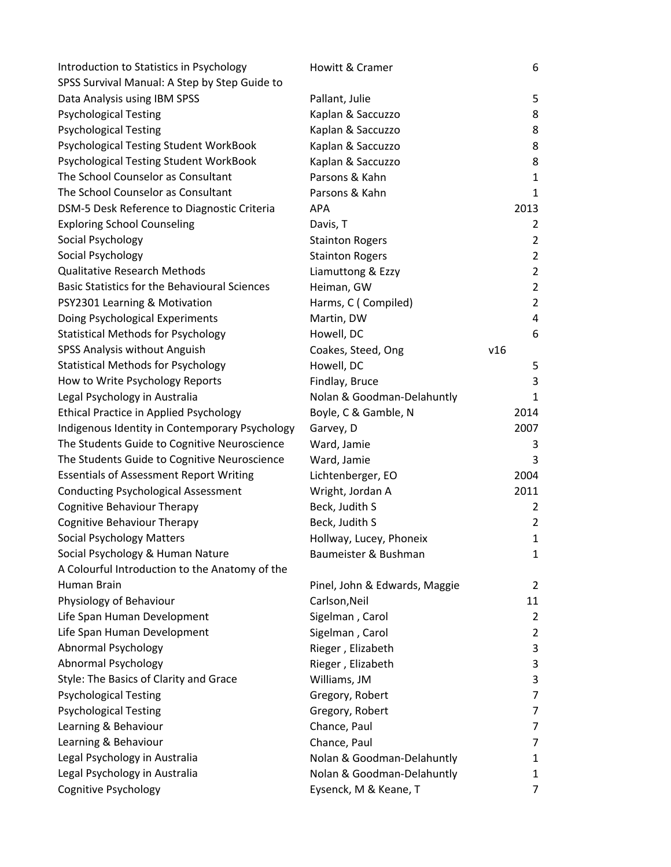| Introduction to Statistics in Psychology             | Howitt & Cramer               | 6              |
|------------------------------------------------------|-------------------------------|----------------|
| SPSS Survival Manual: A Step by Step Guide to        |                               |                |
| Data Analysis using IBM SPSS                         | Pallant, Julie                | 5              |
| <b>Psychological Testing</b>                         | Kaplan & Saccuzzo             | 8              |
| <b>Psychological Testing</b>                         | Kaplan & Saccuzzo             | 8              |
| Psychological Testing Student WorkBook               | Kaplan & Saccuzzo             | 8              |
| Psychological Testing Student WorkBook               | Kaplan & Saccuzzo             | 8              |
| The School Counselor as Consultant                   | Parsons & Kahn                | 1              |
| The School Counselor as Consultant                   | Parsons & Kahn                | 1              |
| DSM-5 Desk Reference to Diagnostic Criteria          | <b>APA</b>                    | 2013           |
| <b>Exploring School Counseling</b>                   | Davis, T                      | 2              |
| Social Psychology                                    | <b>Stainton Rogers</b>        | $\overline{2}$ |
| Social Psychology                                    | <b>Stainton Rogers</b>        | $\overline{2}$ |
| <b>Qualitative Research Methods</b>                  | Liamuttong & Ezzy             | $\overline{2}$ |
| <b>Basic Statistics for the Behavioural Sciences</b> | Heiman, GW                    | $\overline{2}$ |
| PSY2301 Learning & Motivation                        | Harms, C (Compiled)           | $\overline{2}$ |
| Doing Psychological Experiments                      | Martin, DW                    | 4              |
| <b>Statistical Methods for Psychology</b>            | Howell, DC                    | 6              |
| SPSS Analysis without Anguish                        | Coakes, Steed, Ong            | v16            |
| <b>Statistical Methods for Psychology</b>            | Howell, DC                    | 5              |
| How to Write Psychology Reports                      | Findlay, Bruce                | 3              |
| Legal Psychology in Australia                        | Nolan & Goodman-Delahuntly    | 1              |
| Ethical Practice in Applied Psychology               | Boyle, C & Gamble, N          | 2014           |
| Indigenous Identity in Contemporary Psychology       | Garvey, D                     | 2007           |
| The Students Guide to Cognitive Neuroscience         | Ward, Jamie                   | 3              |
| The Students Guide to Cognitive Neuroscience         | Ward, Jamie                   | 3              |
| <b>Essentials of Assessment Report Writing</b>       | Lichtenberger, EO             | 2004           |
| <b>Conducting Psychological Assessment</b>           | Wright, Jordan A              | 2011           |
| Cognitive Behaviour Therapy                          | Beck, Judith S                | $\overline{2}$ |
| <b>Cognitive Behaviour Therapy</b>                   | Beck, Judith S                | $\overline{2}$ |
| <b>Social Psychology Matters</b>                     | Hollway, Lucey, Phoneix       | $\mathbf{1}$   |
| Social Psychology & Human Nature                     | Baumeister & Bushman          | $\mathbf{1}$   |
| A Colourful Introduction to the Anatomy of the       |                               |                |
| Human Brain                                          | Pinel, John & Edwards, Maggie | $\overline{2}$ |
| Physiology of Behaviour                              | Carlson, Neil                 | 11             |
| Life Span Human Development                          | Sigelman, Carol               | $\overline{2}$ |
| Life Span Human Development                          | Sigelman, Carol               | $\overline{2}$ |
| Abnormal Psychology                                  | Rieger, Elizabeth             | 3              |
| <b>Abnormal Psychology</b>                           | Rieger, Elizabeth             | 3              |
| Style: The Basics of Clarity and Grace               | Williams, JM                  | 3              |
| <b>Psychological Testing</b>                         | Gregory, Robert               | 7              |
| <b>Psychological Testing</b>                         | Gregory, Robert               | $\overline{7}$ |
| Learning & Behaviour                                 | Chance, Paul                  | 7              |
| Learning & Behaviour                                 | Chance, Paul                  | 7              |
| Legal Psychology in Australia                        | Nolan & Goodman-Delahuntly    | 1              |
| Legal Psychology in Australia                        | Nolan & Goodman-Delahuntly    | 1              |
| Cognitive Psychology                                 | Eysenck, M & Keane, T         | 7              |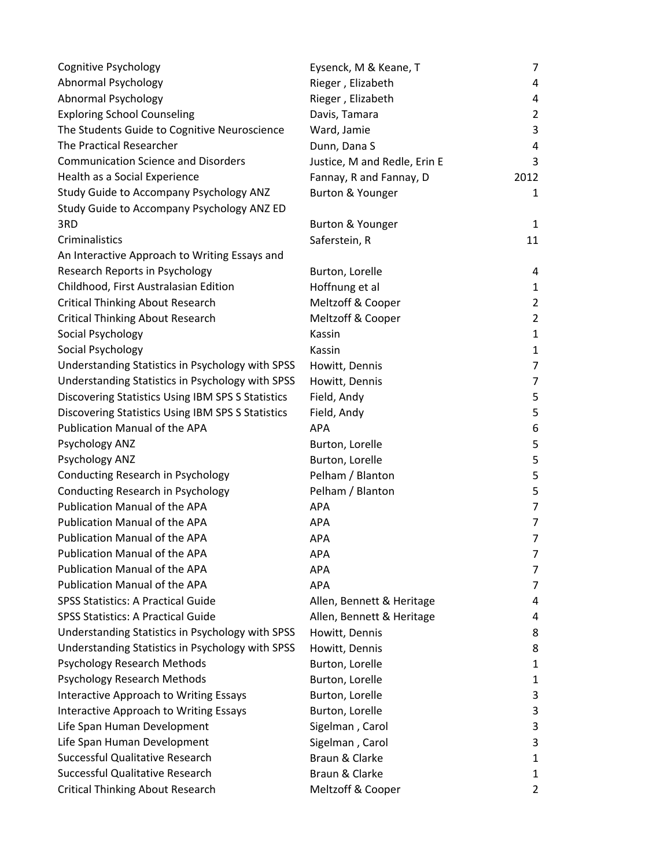| Cognitive Psychology                              | Eysenck, M & Keane, T        | 7              |
|---------------------------------------------------|------------------------------|----------------|
| Abnormal Psychology                               | Rieger, Elizabeth            | 4              |
| Abnormal Psychology                               | Rieger, Elizabeth            | 4              |
| <b>Exploring School Counseling</b>                | Davis, Tamara                | 2              |
| The Students Guide to Cognitive Neuroscience      | Ward, Jamie                  | 3              |
| The Practical Researcher                          | Dunn, Dana S                 | 4              |
| <b>Communication Science and Disorders</b>        | Justice, M and Redle, Erin E | 3              |
| Health as a Social Experience                     | Fannay, R and Fannay, D      | 2012           |
| Study Guide to Accompany Psychology ANZ           | Burton & Younger             | 1              |
| Study Guide to Accompany Psychology ANZ ED        |                              |                |
| 3RD                                               | Burton & Younger             | $\mathbf{1}$   |
| Criminalistics                                    | Saferstein, R                | 11             |
| An Interactive Approach to Writing Essays and     |                              |                |
| Research Reports in Psychology                    | Burton, Lorelle              | 4              |
| Childhood, First Australasian Edition             | Hoffnung et al               | 1              |
| <b>Critical Thinking About Research</b>           | Meltzoff & Cooper            | $\overline{2}$ |
| <b>Critical Thinking About Research</b>           | Meltzoff & Cooper            | 2              |
| Social Psychology                                 | Kassin                       | 1              |
| Social Psychology                                 | Kassin                       | $\mathbf{1}$   |
| Understanding Statistics in Psychology with SPSS  | Howitt, Dennis               | 7              |
| Understanding Statistics in Psychology with SPSS  | Howitt, Dennis               | 7              |
| Discovering Statistics Using IBM SPS S Statistics | Field, Andy                  | 5              |
| Discovering Statistics Using IBM SPS S Statistics | Field, Andy                  | 5              |
| Publication Manual of the APA                     | <b>APA</b>                   | 6              |
| Psychology ANZ                                    | Burton, Lorelle              | 5              |
| Psychology ANZ                                    | Burton, Lorelle              | 5              |
| Conducting Research in Psychology                 | Pelham / Blanton             | 5              |
| Conducting Research in Psychology                 | Pelham / Blanton             | 5              |
| Publication Manual of the APA                     | <b>APA</b>                   | 7              |
| Publication Manual of the APA                     | <b>APA</b>                   | 7              |
| Publication Manual of the APA                     | <b>APA</b>                   | 7              |
| Publication Manual of the APA                     | APA                          | 7              |
| Publication Manual of the APA                     | <b>APA</b>                   | 7              |
| Publication Manual of the APA                     | <b>APA</b>                   | 7              |
| <b>SPSS Statistics: A Practical Guide</b>         | Allen, Bennett & Heritage    | 4              |
| <b>SPSS Statistics: A Practical Guide</b>         | Allen, Bennett & Heritage    | 4              |
| Understanding Statistics in Psychology with SPSS  | Howitt, Dennis               | 8              |
| Understanding Statistics in Psychology with SPSS  | Howitt, Dennis               | 8              |
| <b>Psychology Research Methods</b>                | Burton, Lorelle              | 1              |
| <b>Psychology Research Methods</b>                | Burton, Lorelle              | 1              |
| Interactive Approach to Writing Essays            | Burton, Lorelle              | 3              |
| Interactive Approach to Writing Essays            | Burton, Lorelle              | 3              |
| Life Span Human Development                       | Sigelman, Carol              | 3              |
| Life Span Human Development                       | Sigelman, Carol              | 3              |
| Successful Qualitative Research                   | Braun & Clarke               | 1              |
| Successful Qualitative Research                   | Braun & Clarke               | 1              |
| <b>Critical Thinking About Research</b>           | Meltzoff & Cooper            | 2              |